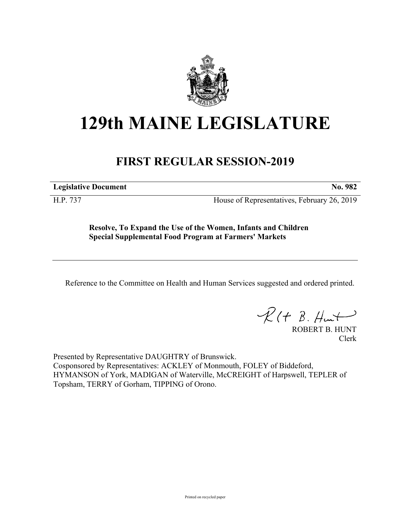

## **129th MAINE LEGISLATURE**

## **FIRST REGULAR SESSION-2019**

**Legislative Document No. 982**

H.P. 737 House of Representatives, February 26, 2019

**Resolve, To Expand the Use of the Women, Infants and Children Special Supplemental Food Program at Farmers' Markets**

Reference to the Committee on Health and Human Services suggested and ordered printed.

 $R(t B. Hmt)$ 

ROBERT B. HUNT Clerk

Presented by Representative DAUGHTRY of Brunswick. Cosponsored by Representatives: ACKLEY of Monmouth, FOLEY of Biddeford, HYMANSON of York, MADIGAN of Waterville, McCREIGHT of Harpswell, TEPLER of Topsham, TERRY of Gorham, TIPPING of Orono.